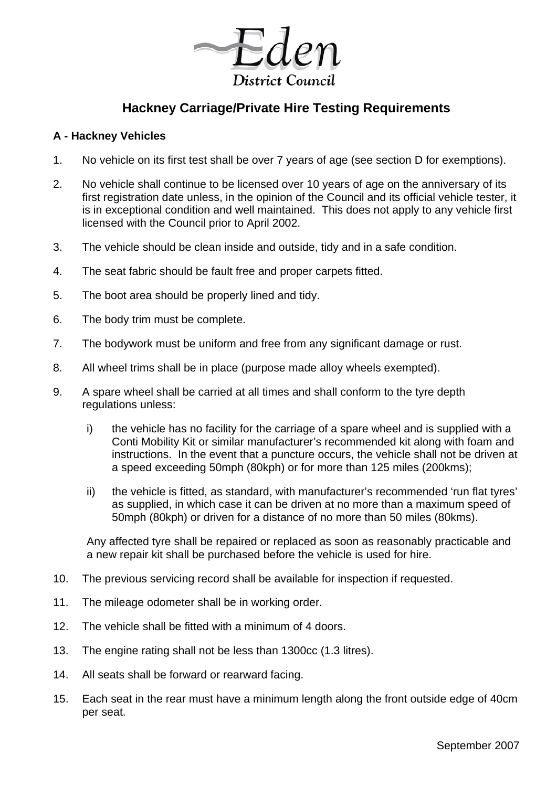District Council

# **Hackney Carriage/Private Hire Testing Requirements**

#### **A - Hackney Vehicles**

- 1. No vehicle on its first test shall be over 7 years of age (see section D for exemptions).
- 2. No vehicle shall continue to be licensed over 10 years of age on the anniversary of its first registration date unless, in the opinion of the Council and its official vehicle tester, it is in exceptional condition and well maintained. This does not apply to any vehicle first licensed with the Council prior to April 2002.
- 3. The vehicle should be clean inside and outside, tidy and in a safe condition.
- 4. The seat fabric should be fault free and proper carpets fitted.
- 5. The boot area should be properly lined and tidy.
- 6. The body trim must be complete.
- 7. The bodywork must be uniform and free from any significant damage or rust.
- 8. All wheel trims shall be in place (purpose made alloy wheels exempted).
- 9. A spare wheel shall be carried at all times and shall conform to the tyre depth regulations unless:
	- i) the vehicle has no facility for the carriage of a spare wheel and is supplied with a Conti Mobility Kit or similar manufacturer's recommended kit along with foam and instructions. In the event that a puncture occurs, the vehicle shall not be driven at a speed exceeding 50mph (80kph) or for more than 125 miles (200kms);
	- ii) the vehicle is fitted, as standard, with manufacturer's recommended 'run flat tyres' as supplied, in which case it can be driven at no more than a maximum speed of 50mph (80kph) or driven for a distance of no more than 50 miles (80kms).

Any affected tyre shall be repaired or replaced as soon as reasonably practicable and a new repair kit shall be purchased before the vehicle is used for hire.

- 10. The previous servicing record shall be available for inspection if requested.
- 11. The mileage odometer shall be in working order.
- 12. The vehicle shall be fitted with a minimum of 4 doors.
- 13. The engine rating shall not be less than 1300cc (1.3 litres).
- 14. All seats shall be forward or rearward facing.
- 15. Each seat in the rear must have a minimum length along the front outside edge of 40cm per seat.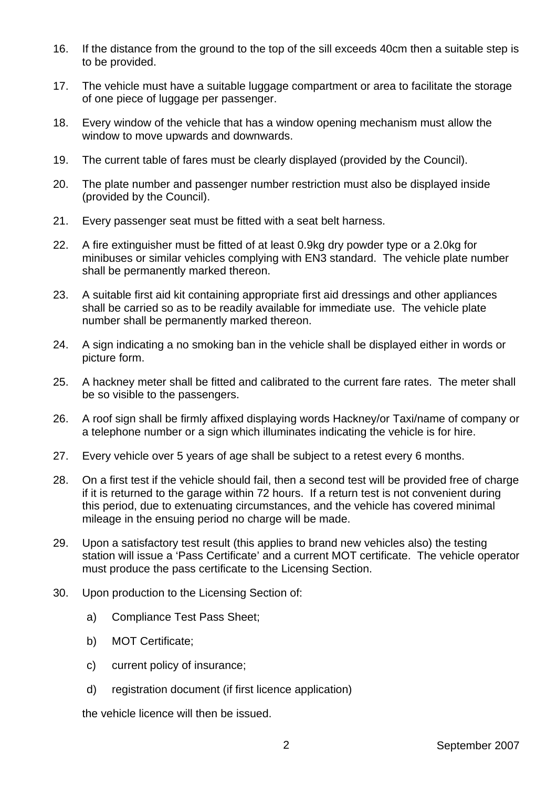- 16. If the distance from the ground to the top of the sill exceeds 40cm then a suitable step is to be provided.
- 17. The vehicle must have a suitable luggage compartment or area to facilitate the storage of one piece of luggage per passenger.
- 18. Every window of the vehicle that has a window opening mechanism must allow the window to move upwards and downwards.
- 19. The current table of fares must be clearly displayed (provided by the Council).
- 20. The plate number and passenger number restriction must also be displayed inside (provided by the Council).
- 21. Every passenger seat must be fitted with a seat belt harness.
- 22. A fire extinguisher must be fitted of at least 0.9kg dry powder type or a 2.0kg for minibuses or similar vehicles complying with EN3 standard. The vehicle plate number shall be permanently marked thereon.
- 23. A suitable first aid kit containing appropriate first aid dressings and other appliances shall be carried so as to be readily available for immediate use. The vehicle plate number shall be permanently marked thereon.
- 24. A sign indicating a no smoking ban in the vehicle shall be displayed either in words or picture form.
- 25. A hackney meter shall be fitted and calibrated to the current fare rates. The meter shall be so visible to the passengers.
- 26. A roof sign shall be firmly affixed displaying words Hackney/or Taxi/name of company or a telephone number or a sign which illuminates indicating the vehicle is for hire.
- 27. Every vehicle over 5 years of age shall be subject to a retest every 6 months.
- 28. On a first test if the vehicle should fail, then a second test will be provided free of charge if it is returned to the garage within 72 hours. If a return test is not convenient during this period, due to extenuating circumstances, and the vehicle has covered minimal mileage in the ensuing period no charge will be made.
- 29. Upon a satisfactory test result (this applies to brand new vehicles also) the testing station will issue a 'Pass Certificate' and a current MOT certificate. The vehicle operator must produce the pass certificate to the Licensing Section.
- 30. Upon production to the Licensing Section of:
	- a) Compliance Test Pass Sheet;
	- b) MOT Certificate;
	- c) current policy of insurance;
	- d) registration document (if first licence application)

the vehicle licence will then be issued.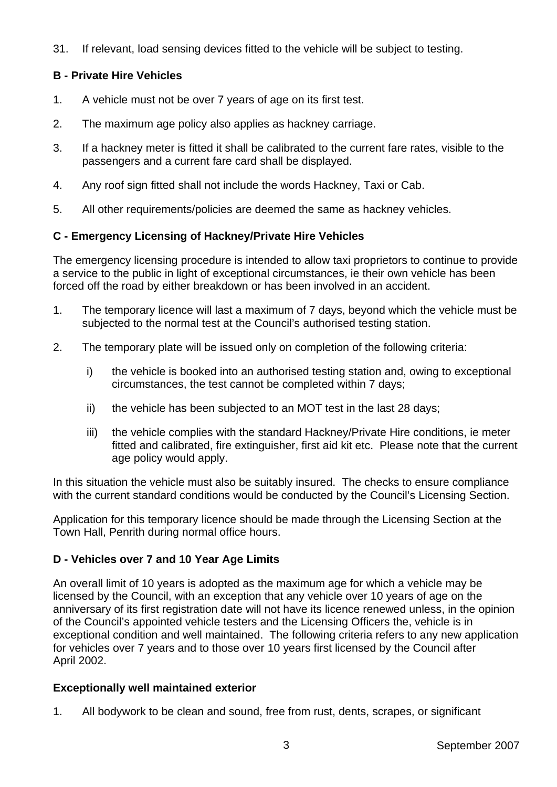31. If relevant, load sensing devices fitted to the vehicle will be subject to testing.

## **B - Private Hire Vehicles**

- 1. A vehicle must not be over 7 years of age on its first test.
- 2. The maximum age policy also applies as hackney carriage.
- 3. If a hackney meter is fitted it shall be calibrated to the current fare rates, visible to the passengers and a current fare card shall be displayed.
- 4. Any roof sign fitted shall not include the words Hackney, Taxi or Cab.
- 5. All other requirements/policies are deemed the same as hackney vehicles.

## **C - Emergency Licensing of Hackney/Private Hire Vehicles**

The emergency licensing procedure is intended to allow taxi proprietors to continue to provide a service to the public in light of exceptional circumstances, ie their own vehicle has been forced off the road by either breakdown or has been involved in an accident.

- 1. The temporary licence will last a maximum of 7 days, beyond which the vehicle must be subjected to the normal test at the Council's authorised testing station.
- 2. The temporary plate will be issued only on completion of the following criteria:
	- i) the vehicle is booked into an authorised testing station and, owing to exceptional circumstances, the test cannot be completed within 7 days;
	- ii) the vehicle has been subjected to an MOT test in the last 28 days;
	- iii) the vehicle complies with the standard Hackney/Private Hire conditions, ie meter fitted and calibrated, fire extinguisher, first aid kit etc. Please note that the current age policy would apply.

In this situation the vehicle must also be suitably insured. The checks to ensure compliance with the current standard conditions would be conducted by the Council's Licensing Section.

Application for this temporary licence should be made through the Licensing Section at the Town Hall, Penrith during normal office hours.

## **D - Vehicles over 7 and 10 Year Age Limits**

An overall limit of 10 years is adopted as the maximum age for which a vehicle may be licensed by the Council, with an exception that any vehicle over 10 years of age on the anniversary of its first registration date will not have its licence renewed unless, in the opinion of the Council's appointed vehicle testers and the Licensing Officers the, vehicle is in exceptional condition and well maintained. The following criteria refers to any new application for vehicles over 7 years and to those over 10 years first licensed by the Council after April 2002.

## **Exceptionally well maintained exterior**

1. All bodywork to be clean and sound, free from rust, dents, scrapes, or significant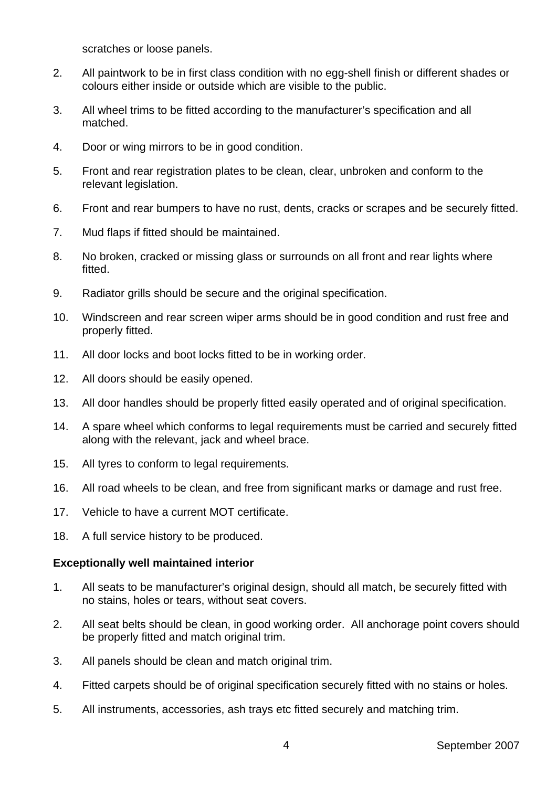scratches or loose panels.

- 2. All paintwork to be in first class condition with no egg-shell finish or different shades or colours either inside or outside which are visible to the public.
- 3. All wheel trims to be fitted according to the manufacturer's specification and all matched.
- 4. Door or wing mirrors to be in good condition.
- 5. Front and rear registration plates to be clean, clear, unbroken and conform to the relevant legislation.
- 6. Front and rear bumpers to have no rust, dents, cracks or scrapes and be securely fitted.
- 7. Mud flaps if fitted should be maintained.
- 8. No broken, cracked or missing glass or surrounds on all front and rear lights where fitted.
- 9. Radiator grills should be secure and the original specification.
- 10. Windscreen and rear screen wiper arms should be in good condition and rust free and properly fitted.
- 11. All door locks and boot locks fitted to be in working order.
- 12. All doors should be easily opened.
- 13. All door handles should be properly fitted easily operated and of original specification.
- 14. A spare wheel which conforms to legal requirements must be carried and securely fitted along with the relevant, jack and wheel brace.
- 15. All tyres to conform to legal requirements.
- 16. All road wheels to be clean, and free from significant marks or damage and rust free.
- 17. Vehicle to have a current MOT certificate.
- 18. A full service history to be produced.

#### **Exceptionally well maintained interior**

- 1. All seats to be manufacturer's original design, should all match, be securely fitted with no stains, holes or tears, without seat covers.
- 2. All seat belts should be clean, in good working order. All anchorage point covers should be properly fitted and match original trim.
- 3. All panels should be clean and match original trim.
- 4. Fitted carpets should be of original specification securely fitted with no stains or holes.
- 5. All instruments, accessories, ash trays etc fitted securely and matching trim.